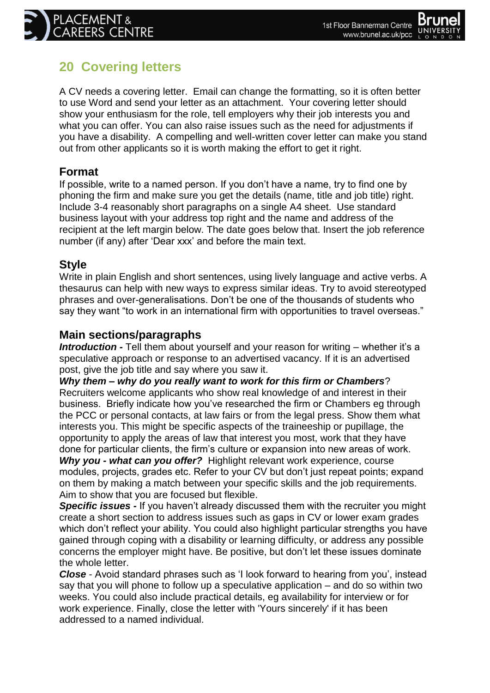## **20 Covering letters**

A CV needs a covering letter. Email can change the formatting, so it is often better to use Word and send your letter as an attachment. Your covering letter should show your enthusiasm for the role, tell employers why their job interests you and what you can offer. You can also raise issues such as the need for adjustments if you have a disability. A compelling and well-written cover letter can make you stand out from other applicants so it is worth making the effort to get it right.

## **Format**

If possible, write to a named person. If you don"t have a name, try to find one by phoning the firm and make sure you get the details (name, title and job title) right. Include 3-4 reasonably short paragraphs on a single A4 sheet. Use standard business layout with your address top right and the name and address of the recipient at the left margin below. The date goes below that. Insert the job reference number (if any) after "Dear xxx" and before the main text.

## **Style**

Write in plain English and short sentences, using lively language and active verbs. A thesaurus can help with new ways to express similar ideas. Try to avoid stereotyped phrases and over-generalisations. Don"t be one of the thousands of students who say they want "to work in an international firm with opportunities to travel overseas."

## **Main sections/paragraphs**

*Introduction -* Tell them about yourself and your reason for writing – whether it's a speculative approach or response to an advertised vacancy. If it is an advertised post, give the job title and say where you saw it.

*Why them – why do you really want to work for this firm or Chambers*? Recruiters welcome applicants who show real knowledge of and interest in their business. Briefly indicate how you"ve researched the firm or Chambers eg through the PCC or personal contacts, at law fairs or from the legal press. Show them what interests you. This might be specific aspects of the traineeship or pupillage, the opportunity to apply the areas of law that interest you most, work that they have done for particular clients, the firm"s culture or expansion into new areas of work. *Why you - what can you offer?* Highlight relevant work experience, course modules, projects, grades etc. Refer to your CV but don"t just repeat points; expand on them by making a match between your specific skills and the job requirements. Aim to show that you are focused but flexible.

**Specific issues -** If you haven't already discussed them with the recruiter you might create a short section to address issues such as gaps in CV or lower exam grades which don't reflect your ability. You could also highlight particular strengths you have gained through coping with a disability or learning difficulty, or address any possible concerns the employer might have. Be positive, but don"t let these issues dominate the whole letter.

*Close* - Avoid standard phrases such as "I look forward to hearing from you", instead say that you will phone to follow up a speculative application – and do so within two weeks. You could also include practical details, eg availability for interview or for work experience. Finally, close the letter with 'Yours sincerely' if it has been addressed to a named individual.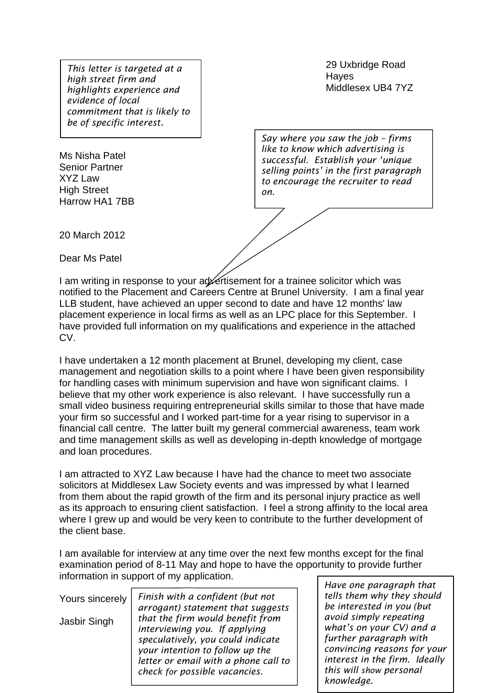Middlesex UB4 7YZ *highlights experience and This letter is targeted at a high street firm and evidence of local commitment that is likely to be of specific interest.*

Ms Nisha Patel Senior Partner XYZ Law High Street Harrow HA1 7BB 29 Uxbridge Road Hayes

*Say where you saw the job – firms like to know which advertising is successful. Establish your 'unique selling points' in the first paragraph to encourage the recruiter to read on.* 

20 March 2012

Dear Ms Patel

I am writing in response to your ad ertisement for a trainee solicitor which was notified to the Placement and Careers Centre at Brunel University. I am a final year LLB student, have achieved an upper second to date and have 12 months' law placement experience in local firms as well as an LPC place for this September. I have provided full information on my qualifications and experience in the attached CV.

I have undertaken a 12 month placement at Brunel, developing my client, case management and negotiation skills to a point where I have been given responsibility for handling cases with minimum supervision and have won significant claims. I believe that my other work experience is also relevant. I have successfully run a small video business requiring entrepreneurial skills similar to those that have made your firm so successful and I worked part-time for a year rising to supervisor in a financial call centre. The latter built my general commercial awareness, team work and time management skills as well as developing in-depth knowledge of mortgage and loan procedures.

I am attracted to XYZ Law because I have had the chance to meet two associate solicitors at Middlesex Law Society events and was impressed by what I learned from them about the rapid growth of the firm and its personal injury practice as well as its approach to ensuring client satisfaction. I feel a strong affinity to the local area where I grew up and would be very keen to contribute to the further development of the client base.

I am available for interview at any time over the next few months except for the final examination period of 8-11 May and hope to have the opportunity to provide further information in support of my application.

| Yours sincerely<br>Jasbir Singh | Finish with a confident (but not<br>arrogant) statement that suggests<br>that the firm would benefit from<br>interviewing you. If applying<br>speculatively, you could indicate |  |
|---------------------------------|---------------------------------------------------------------------------------------------------------------------------------------------------------------------------------|--|
|                                 | your intention to follow up the<br>letter or email with a phone call to<br>check for possible vacancies.                                                                        |  |

*Have one paragraph that tells them why they should be interested in you (but avoid simply repeating what's on your CV) and a further paragraph with convincing reasons for your interest in the firm. Ideally this will show personal knowledge*.